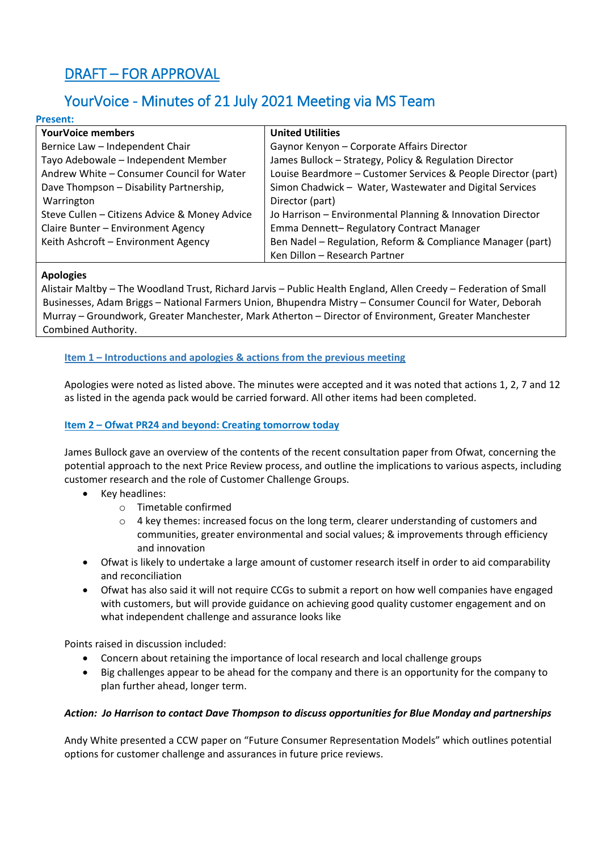# DRAFT – FOR APPROVAL

# YourVoice - Minutes of 21 July 2021 Meeting via MS Team

| <b>Present:</b>                               |                                                               |
|-----------------------------------------------|---------------------------------------------------------------|
| <b>YourVoice members</b>                      | <b>United Utilities</b>                                       |
| Bernice Law - Independent Chair               | Gaynor Kenyon - Corporate Affairs Director                    |
| Tayo Adebowale - Independent Member           | James Bullock - Strategy, Policy & Regulation Director        |
| Andrew White - Consumer Council for Water     | Louise Beardmore - Customer Services & People Director (part) |
| Dave Thompson - Disability Partnership,       | Simon Chadwick - Water, Wastewater and Digital Services       |
| Warrington                                    | Director (part)                                               |
| Steve Cullen - Citizens Advice & Money Advice | Jo Harrison - Environmental Planning & Innovation Director    |
| Claire Bunter - Environment Agency            | Emma Dennett-Regulatory Contract Manager                      |
| Keith Ashcroft - Environment Agency           | Ben Nadel - Regulation, Reform & Compliance Manager (part)    |
|                                               | Ken Dillon - Research Partner                                 |

# **Apologies**

Alistair Maltby – The Woodland Trust, Richard Jarvis – Public Health England, Allen Creedy – Federation of Small Businesses, Adam Briggs – National Farmers Union, Bhupendra Mistry – Consumer Council for Water, Deborah Murray – Groundwork, Greater Manchester, Mark Atherton – Director of Environment, Greater Manchester Combined Authority.

# **Item 1 – Introductions and apologies & actions from the previous meeting**

Apologies were noted as listed above. The minutes were accepted and it was noted that actions 1, 2, 7 and 12 as listed in the agenda pack would be carried forward. All other items had been completed.

## **Item 2 – Ofwat PR24 and beyond: Creating tomorrow today**

James Bullock gave an overview of the contents of the recent consultation paper from Ofwat, concerning the potential approach to the next Price Review process, and outline the implications to various aspects, including customer research and the role of Customer Challenge Groups.

- Key headlines:
	- o Timetable confirmed
	- $\circ$  4 key themes: increased focus on the long term, clearer understanding of customers and communities, greater environmental and social values; & improvements through efficiency and innovation
	- Ofwat is likely to undertake a large amount of customer research itself in order to aid comparability and reconciliation
	- Ofwat has also said it will not require CCGs to submit a report on how well companies have engaged with customers, but will provide guidance on achieving good quality customer engagement and on what independent challenge and assurance looks like

Points raised in discussion included:

- Concern about retaining the importance of local research and local challenge groups
- Big challenges appear to be ahead for the company and there is an opportunity for the company to plan further ahead, longer term.

#### *Action: Jo Harrison to contact Dave Thompson to discuss opportunities for Blue Monday and partnerships*

Andy White presented a CCW paper on "Future Consumer Representation Models" which outlines potential options for customer challenge and assurances in future price reviews.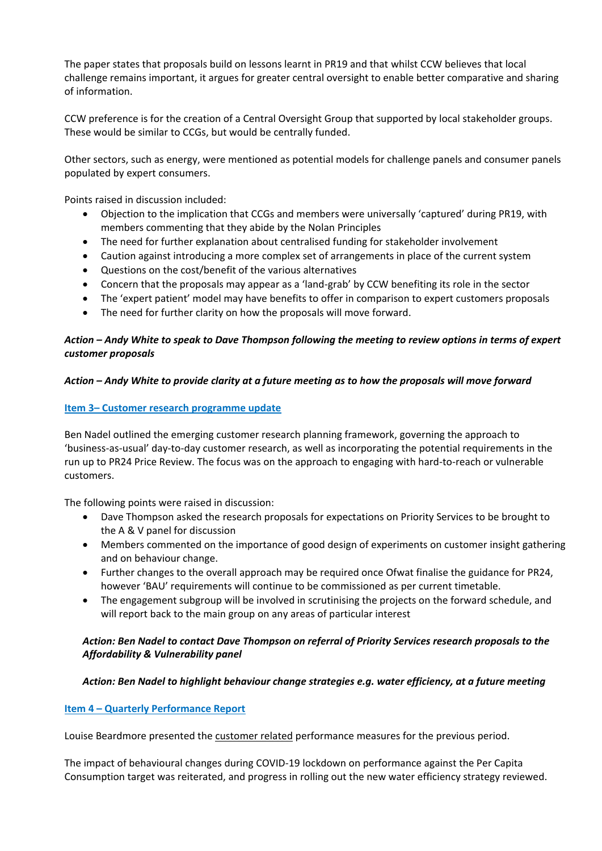The paper states that proposals build on lessons learnt in PR19 and that whilst CCW believes that local challenge remains important, it argues for greater central oversight to enable better comparative and sharing of information.

CCW preference is for the creation of a Central Oversight Group that supported by local stakeholder groups. These would be similar to CCGs, but would be centrally funded.

Other sectors, such as energy, were mentioned as potential models for challenge panels and consumer panels populated by expert consumers.

Points raised in discussion included:

- Objection to the implication that CCGs and members were universally 'captured' during PR19, with members commenting that they abide by the Nolan Principles
- The need for further explanation about centralised funding for stakeholder involvement
- Caution against introducing a more complex set of arrangements in place of the current system
- Questions on the cost/benefit of the various alternatives
- Concern that the proposals may appear as a 'land-grab' by CCW benefiting its role in the sector
- The 'expert patient' model may have benefits to offer in comparison to expert customers proposals
- The need for further clarity on how the proposals will move forward.

# *Action – Andy White to speak to Dave Thompson following the meeting to review options in terms of expert customer proposals*

## *Action – Andy White to provide clarity at a future meeting as to how the proposals will move forward*

## **Item 3– Customer research programme update**

Ben Nadel outlined the emerging customer research planning framework, governing the approach to 'business-as-usual' day-to-day customer research, as well as incorporating the potential requirements in the run up to PR24 Price Review. The focus was on the approach to engaging with hard-to-reach or vulnerable customers.

The following points were raised in discussion:

- Dave Thompson asked the research proposals for expectations on Priority Services to be brought to the A & V panel for discussion
- Members commented on the importance of good design of experiments on customer insight gathering and on behaviour change.
- Further changes to the overall approach may be required once Ofwat finalise the guidance for PR24, however 'BAU' requirements will continue to be commissioned as per current timetable.
- The engagement subgroup will be involved in scrutinising the projects on the forward schedule, and will report back to the main group on any areas of particular interest

# *Action: Ben Nadel to contact Dave Thompson on referral of Priority Services research proposals to the Affordability & Vulnerability panel*

# *Action: Ben Nadel to highlight behaviour change strategies e.g. water efficiency, at a future meeting*

# **Item 4 – Quarterly Performance Report**

Louise Beardmore presented the customer related performance measures for the previous period.

The impact of behavioural changes during COVID-19 lockdown on performance against the Per Capita Consumption target was reiterated, and progress in rolling out the new water efficiency strategy reviewed.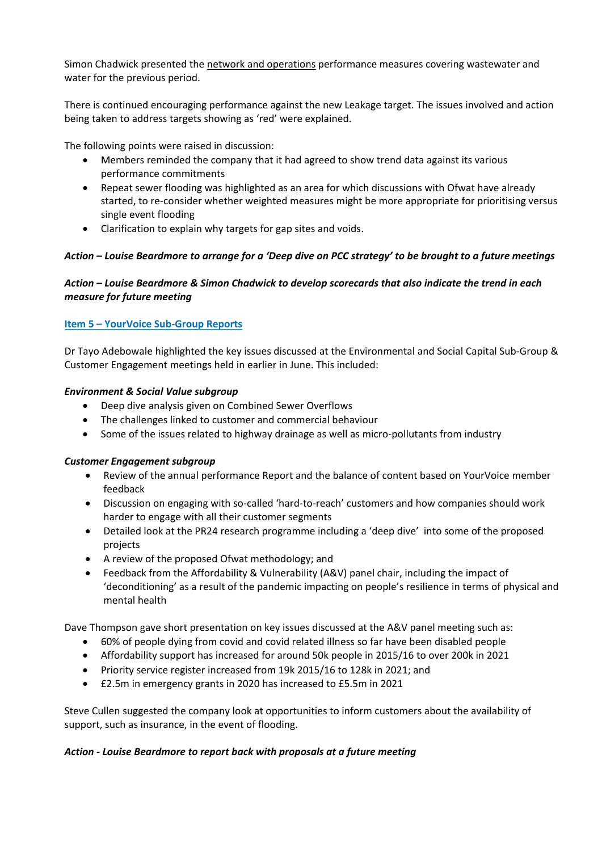Simon Chadwick presented the network and operations performance measures covering wastewater and water for the previous period.

There is continued encouraging performance against the new Leakage target. The issues involved and action being taken to address targets showing as 'red' were explained.

The following points were raised in discussion:

- Members reminded the company that it had agreed to show trend data against its various performance commitments
- Repeat sewer flooding was highlighted as an area for which discussions with Ofwat have already started, to re-consider whether weighted measures might be more appropriate for prioritising versus single event flooding
- Clarification to explain why targets for gap sites and voids.

## *Action – Louise Beardmore to arrange for a 'Deep dive on PCC strategy' to be brought to a future meetings*

# *Action – Louise Beardmore & Simon Chadwick to develop scorecards that also indicate the trend in each measure for future meeting*

## **Item 5 – YourVoice Sub-Group Reports**

Dr Tayo Adebowale highlighted the key issues discussed at the Environmental and Social Capital Sub-Group & Customer Engagement meetings held in earlier in June. This included:

#### *Environment & Social Value subgroup*

- Deep dive analysis given on Combined Sewer Overflows
- The challenges linked to customer and commercial behaviour
- Some of the issues related to highway drainage as well as micro-pollutants from industry

#### *Customer Engagement subgroup*

- Review of the annual performance Report and the balance of content based on YourVoice member feedback
- Discussion on engaging with so-called 'hard-to-reach' customers and how companies should work harder to engage with all their customer segments
- Detailed look at the PR24 research programme including a 'deep dive' into some of the proposed projects
- A review of the proposed Ofwat methodology; and
- Feedback from the Affordability & Vulnerability (A&V) panel chair, including the impact of 'deconditioning' as a result of the pandemic impacting on people's resilience in terms of physical and mental health

Dave Thompson gave short presentation on key issues discussed at the A&V panel meeting such as:

- 60% of people dying from covid and covid related illness so far have been disabled people
- Affordability support has increased for around 50k people in 2015/16 to over 200k in 2021
- Priority service register increased from 19k 2015/16 to 128k in 2021; and
- £2.5m in emergency grants in 2020 has increased to £5.5m in 2021

Steve Cullen suggested the company look at opportunities to inform customers about the availability of support, such as insurance, in the event of flooding.

#### *Action - Louise Beardmore to report back with proposals at a future meeting*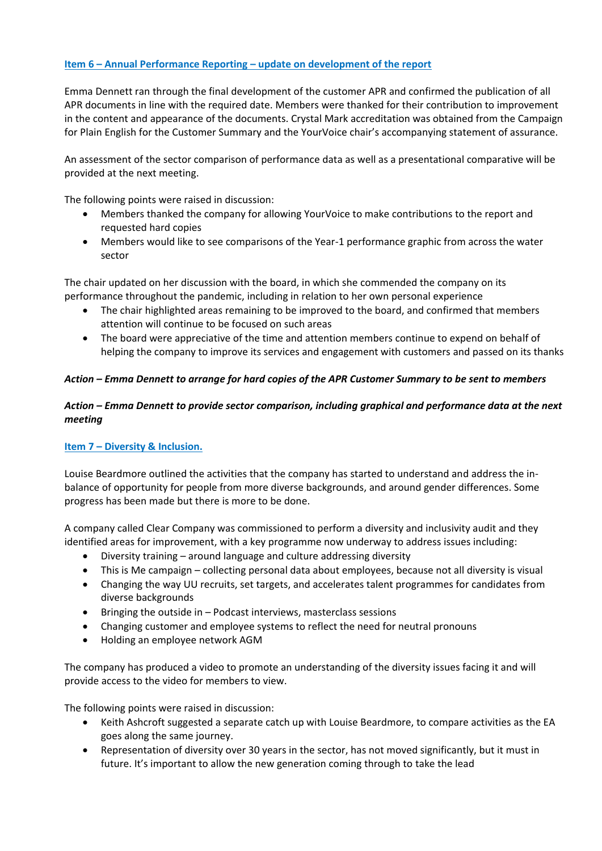# **Item 6 – Annual Performance Reporting – update on development of the report**

Emma Dennett ran through the final development of the customer APR and confirmed the publication of all APR documents in line with the required date. Members were thanked for their contribution to improvement in the content and appearance of the documents. Crystal Mark accreditation was obtained from the Campaign for Plain English for the Customer Summary and the YourVoice chair's accompanying statement of assurance.

An assessment of the sector comparison of performance data as well as a presentational comparative will be provided at the next meeting.

The following points were raised in discussion:

- Members thanked the company for allowing YourVoice to make contributions to the report and requested hard copies
- Members would like to see comparisons of the Year-1 performance graphic from across the water sector

The chair updated on her discussion with the board, in which she commended the company on its performance throughout the pandemic, including in relation to her own personal experience

- The chair highlighted areas remaining to be improved to the board, and confirmed that members attention will continue to be focused on such areas
- The board were appreciative of the time and attention members continue to expend on behalf of helping the company to improve its services and engagement with customers and passed on its thanks

# *Action – Emma Dennett to arrange for hard copies of the APR Customer Summary to be sent to members*

## *Action – Emma Dennett to provide sector comparison, including graphical and performance data at the next meeting*

# **Item 7 – Diversity & Inclusion.**

Louise Beardmore outlined the activities that the company has started to understand and address the inbalance of opportunity for people from more diverse backgrounds, and around gender differences. Some progress has been made but there is more to be done.

A company called Clear Company was commissioned to perform a diversity and inclusivity audit and they identified areas for improvement, with a key programme now underway to address issues including:

- Diversity training around language and culture addressing diversity
- This is Me campaign collecting personal data about employees, because not all diversity is visual
- Changing the way UU recruits, set targets, and accelerates talent programmes for candidates from diverse backgrounds
- Bringing the outside in Podcast interviews, masterclass sessions
- Changing customer and employee systems to reflect the need for neutral pronouns
- Holding an employee network AGM

The company has produced a video to promote an understanding of the diversity issues facing it and will provide access to the video for members to view.

The following points were raised in discussion:

- Keith Ashcroft suggested a separate catch up with Louise Beardmore, to compare activities as the EA goes along the same journey.
- Representation of diversity over 30 years in the sector, has not moved significantly, but it must in future. It's important to allow the new generation coming through to take the lead